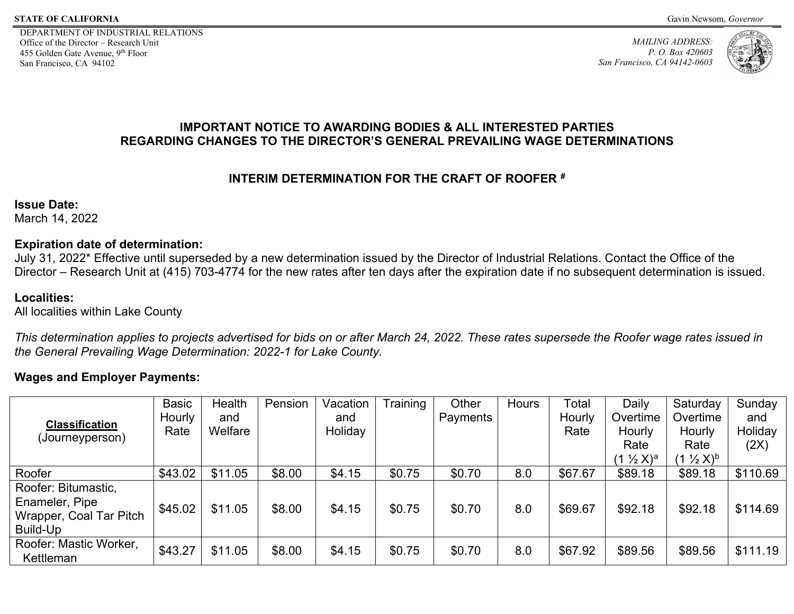DEPARTMENT OF INDUSTRIAL RELATIONS Office of the Director – Research Unit 455 Golden Gate Avenue, 9th Floor San Francisco, CA 94102

*MAILING ADDRESS: P. O. Box 420603 San Francisco, CA 94142-0603*



## **IMPORTANT NOTICE TO AWARDING BODIES & ALL INTERESTED PARTIES REGARDING CHANGES TO THE DIRECTOR'S GENERAL PREVAILING WAGE DETERMINATIONS**

# **INTERIM DETERMINATION FOR THE CRAFT OF ROOFER [#](#page-1-0)**

**Issue Date:** 

March 14, 2022

## **Expiration date of determination:**

July 31, 2022\* Effective until superseded by a new determination issued by the Director of Industrial Relations. Contact the Office of the Director – Research Unit at (415) 703-4774 for the new rates after ten days after the expiration date if no subsequent determination is issued.

# **Localities:**

All localities within Lake County

*This determination applies to projects advertised for bids on or after March 24, 2022. These rates supersede the Roofer wage rates issued in the General Prevailing Wage Determination: 2022-1 for Lake County.*

# **Wages and Employer Payments:**

|                                                                              | <b>Basic</b><br>Hourly | Health<br>and | Pension | Vacation<br>and | Training | Other<br>Payments | <b>Hours</b> | Total<br>Hourly | Daily<br>Overtime     | Saturday<br>Overtime  | Sunday<br>and |
|------------------------------------------------------------------------------|------------------------|---------------|---------|-----------------|----------|-------------------|--------------|-----------------|-----------------------|-----------------------|---------------|
| <b>Classification</b><br>(Journeyperson)                                     | Rate                   | Welfare       |         | Holiday         |          |                   |              | Rate            | Hourly                | Hourly                | Holiday       |
|                                                                              |                        |               |         |                 |          |                   |              |                 | Rate                  | Rate                  | (2X)          |
|                                                                              |                        |               |         |                 |          |                   |              |                 | $(1 \frac{1}{2} X)^a$ | $(1 \frac{1}{2} X)^b$ |               |
| Roofer                                                                       | \$43.02                | \$11.05       | \$8.00  | \$4.15          | \$0.75   | \$0.70            | 8.0          | \$67.67         | \$89.18               | \$89.18               | \$110.69      |
| Roofer: Bitumastic,<br>Enameler, Pipe<br>Wrapper, Coal Tar Pitch<br>Build-Up | \$45.02                | \$11.05       | \$8.00  | \$4.15          | \$0.75   | \$0.70            | 8.0          | \$69.67         | \$92.18               | \$92.18               | \$114.69      |
| Roofer: Mastic Worker,<br>Kettleman                                          | \$43.27                | \$11.05       | \$8.00  | \$4.15          | \$0.75   | \$0.70            | 8.0          | \$67.92         | \$89.56               | \$89.56               | \$111.19      |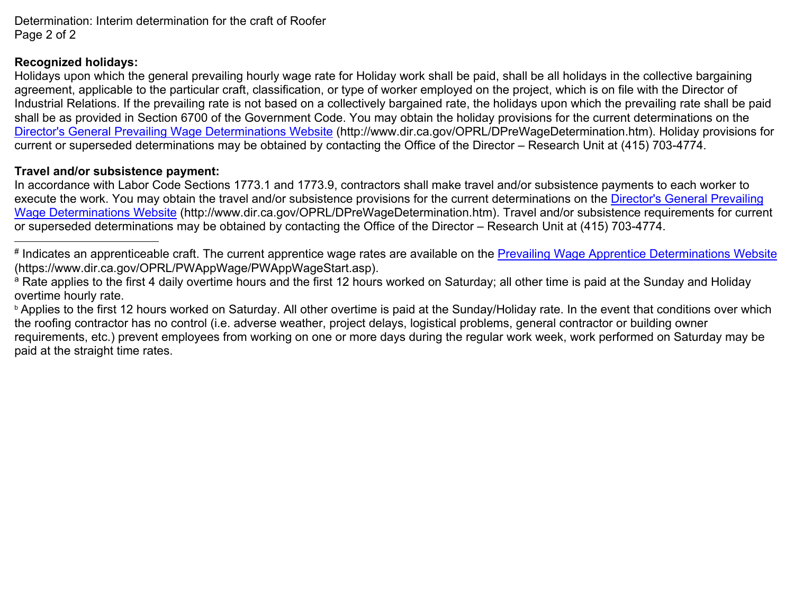<span id="page-1-2"></span><span id="page-1-1"></span><span id="page-1-0"></span>Determination: Interim determination for the craft of Roofer Page 2 of 2

#### **Recognized holidays:**

 $\overline{a}$ 

Holidays upon which the general prevailing hourly wage rate for Holiday work shall be paid, shall be all holidays in the collective bargaining agreement, applicable to the particular craft, classification, or type of worker employed on the project, which is on file with the Director of Industrial Relations. If the prevailing rate is not based on a collectively bargained rate, the holidays upon which the prevailing rate shall be paid shall be as provided in Section 6700 of the Government Code. You may obtain the holiday provisions for the current determinations on the [Director's General Prevailing Wage Determinations Website](https://www.dir.ca.gov/OPRL/DPreWageDetermination.htm) (http://www.dir.ca.gov/OPRL/DPreWageDetermination.htm). Holiday provisions for current or superseded determinations may be obtained by contacting the Office of the Director – Research Unit at (415) 703-4774.

#### **Travel and/or subsistence payment:**

In accordance with Labor Code Sections 1773.1 and 1773.9, contractors shall make travel and/or subsistence payments to each worker to execute the work. You may obtain the travel and/or subsistence provisions for the current determinations on the [Director's General Prevailing](https://www.dir.ca.gov/OPRL/DPreWageDetermination.htm)  [Wage Determinations Website](https://www.dir.ca.gov/OPRL/DPreWageDetermination.htm) (http://www.dir.ca.gov/OPRL/DPreWageDetermination.htm). Travel and/or subsistence requirements for current or superseded determinations may be obtained by contacting the Office of the Director – Research Unit at (415) 703-4774.

**b** Applies to the first 12 hours worked on Saturday. All other overtime is paid at the Sunday/Holiday rate. In the event that conditions over which the roofing contractor has no control (i.e. adverse weather, project delays, logistical problems, general contractor or building owner requirements, etc.) prevent employees from working on one or more days during the regular work week, work performed on Saturday may be paid at the straight time rates.

<sup>#</sup> Indicates an apprenticeable craft. The current apprentice wage rates are available on the **Prevailing Wage Apprentice Determinations Website** (https://www.dir.ca.gov/OPRL/PWAppWage/PWAppWageStart.asp).

<sup>&</sup>lt;sup>a</sup> Rate applies to the first 4 daily overtime hours and the first 12 hours worked on Saturday; all other time is paid at the Sunday and Holiday overtime hourly rate.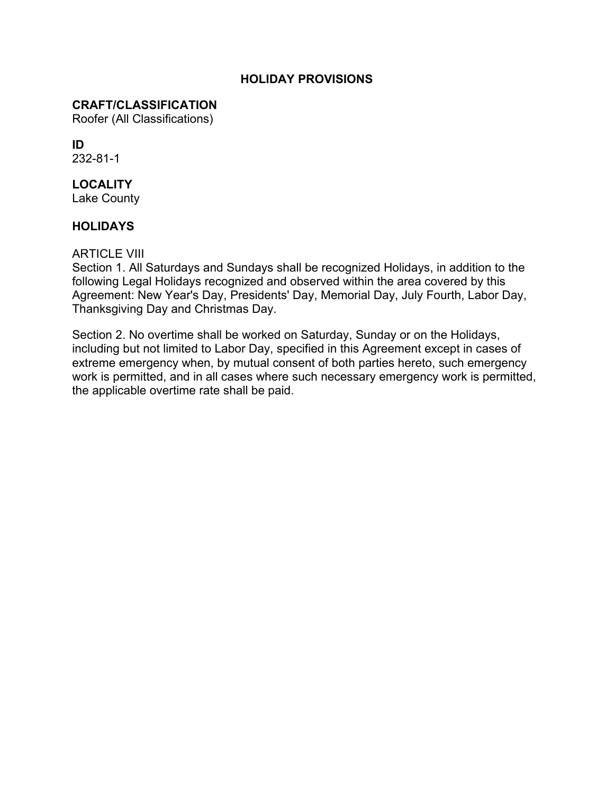#### **HOLIDAY PROVISIONS**

#### **CRAFT/CLASSIFICATION**

Roofer (All Classifications)

# **ID**

232-81-1

# **LOCALITY**

Lake County

## **HOLIDAYS**

#### ARTICLE VIII

Section 1. All Saturdays and Sundays shall be recognized Holidays, in addition to the following Legal Holidays recognized and observed within the area covered by this Agreement: New Year's Day, Presidents' Day, Memorial Day, July Fourth, Labor Day, Thanksgiving Day and Christmas Day.

Section 2. No overtime shall be worked on Saturday, Sunday or on the Holidays, including but not limited to Labor Day, specified in this Agreement except in cases of extreme emergency when, by mutual consent of both parties hereto, such emergency work is permitted, and in all cases where such necessary emergency work is permitted, the applicable overtime rate shall be paid.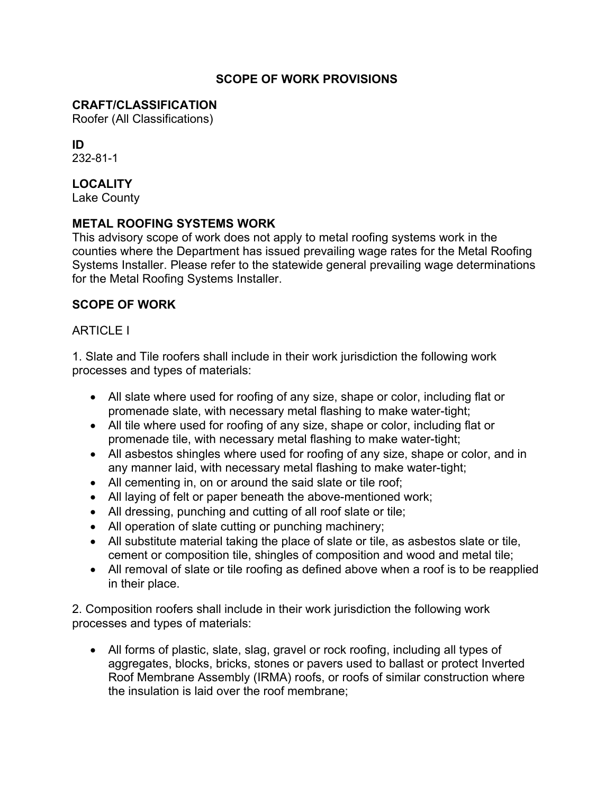#### **SCOPE OF WORK PROVISIONS**

#### **CRAFT/CLASSIFICATION**

Roofer (All Classifications)

# **ID**

232-81-1

# **LOCALITY**

Lake County

## **METAL ROOFING SYSTEMS WORK**

This advisory scope of work does not apply to metal roofing systems work in the counties where the Department has issued prevailing wage rates for the Metal Roofing Systems Installer. Please refer to the statewide general prevailing wage determinations for the Metal Roofing Systems Installer.

#### **SCOPE OF WORK**

#### **ARTICLE I**

1. Slate and Tile roofers shall include in their work jurisdiction the following work processes and types of materials:

- All slate where used for roofing of any size, shape or color, including flat or promenade slate, with necessary metal flashing to make water-tight;
- All tile where used for roofing of any size, shape or color, including flat or promenade tile, with necessary metal flashing to make water-tight;
- All asbestos shingles where used for roofing of any size, shape or color, and in any manner laid, with necessary metal flashing to make water-tight;
- All cementing in, on or around the said slate or tile roof;
- All laying of felt or paper beneath the above-mentioned work;
- All dressing, punching and cutting of all roof slate or tile;
- All operation of slate cutting or punching machinery;
- All substitute material taking the place of slate or tile, as asbestos slate or tile, cement or composition tile, shingles of composition and wood and metal tile;
- All removal of slate or tile roofing as defined above when a roof is to be reapplied in their place.

2. Composition roofers shall include in their work jurisdiction the following work processes and types of materials:

• All forms of plastic, slate, slag, gravel or rock roofing, including all types of aggregates, blocks, bricks, stones or pavers used to ballast or protect Inverted Roof Membrane Assembly (IRMA) roofs, or roofs of similar construction where the insulation is laid over the roof membrane;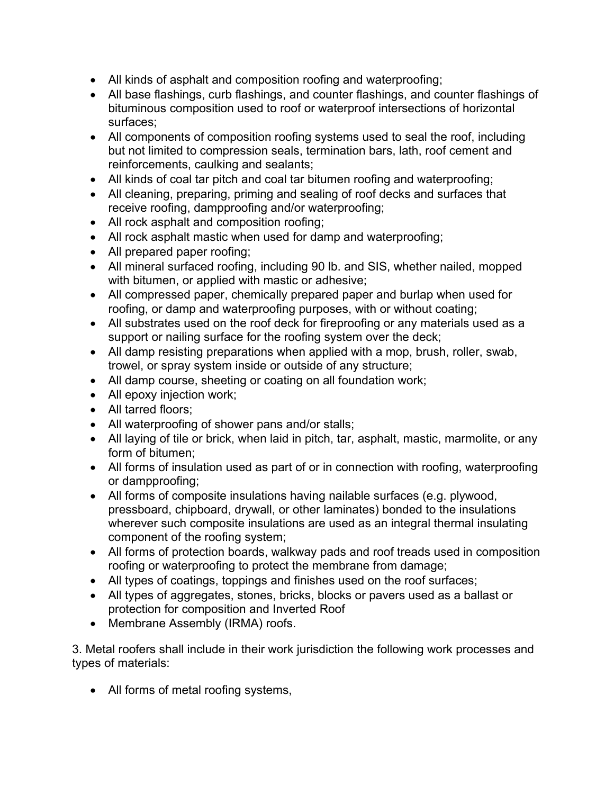- All kinds of asphalt and composition roofing and waterproofing;
- All base flashings, curb flashings, and counter flashings, and counter flashings of bituminous composition used to roof or waterproof intersections of horizontal surfaces;
- All components of composition roofing systems used to seal the roof, including but not limited to compression seals, termination bars, lath, roof cement and reinforcements, caulking and sealants;
- All kinds of coal tar pitch and coal tar bitumen roofing and waterproofing;
- All cleaning, preparing, priming and sealing of roof decks and surfaces that receive roofing, dampproofing and/or waterproofing;
- All rock asphalt and composition roofing;
- All rock asphalt mastic when used for damp and waterproofing;
- All prepared paper roofing;
- All mineral surfaced roofing, including 90 lb. and SIS, whether nailed, mopped with bitumen, or applied with mastic or adhesive;
- All compressed paper, chemically prepared paper and burlap when used for roofing, or damp and waterproofing purposes, with or without coating;
- All substrates used on the roof deck for fireproofing or any materials used as a support or nailing surface for the roofing system over the deck;
- All damp resisting preparations when applied with a mop, brush, roller, swab, trowel, or spray system inside or outside of any structure;
- All damp course, sheeting or coating on all foundation work;
- All epoxy injection work;
- All tarred floors;
- All waterproofing of shower pans and/or stalls;
- All laying of tile or brick, when laid in pitch, tar, asphalt, mastic, marmolite, or any form of bitumen;
- All forms of insulation used as part of or in connection with roofing, waterproofing or dampproofing;
- All forms of composite insulations having nailable surfaces (e.g. plywood, pressboard, chipboard, drywall, or other laminates) bonded to the insulations wherever such composite insulations are used as an integral thermal insulating component of the roofing system;
- All forms of protection boards, walkway pads and roof treads used in composition roofing or waterproofing to protect the membrane from damage;
- All types of coatings, toppings and finishes used on the roof surfaces;
- All types of aggregates, stones, bricks, blocks or pavers used as a ballast or protection for composition and Inverted Roof
- Membrane Assembly (IRMA) roofs.

3. Metal roofers shall include in their work jurisdiction the following work processes and types of materials:

• All forms of metal roofing systems,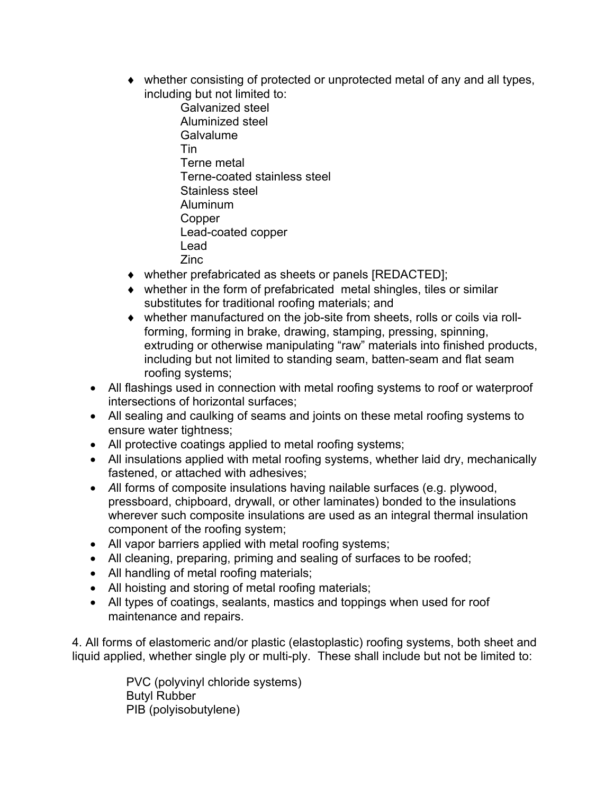- ♦ whether consisting of protected or unprotected metal of any and all types, including but not limited to:
	- Galvanized steel Aluminized steel **Galvalume** Tin Terne metal Terne-coated stainless steel Stainless steel Aluminum **Copper** Lead-coated copper Lead Zinc
- ♦ whether prefabricated as sheets or panels [REDACTED];
- ♦ whether in the form of prefabricated metal shingles, tiles or similar substitutes for traditional roofing materials; and
- ♦ whether manufactured on the job-site from sheets, rolls or coils via rollforming, forming in brake, drawing, stamping, pressing, spinning, extruding or otherwise manipulating "raw" materials into finished products, including but not limited to standing seam, batten-seam and flat seam roofing systems;
- All flashings used in connection with metal roofing systems to roof or waterproof intersections of horizontal surfaces;
- All sealing and caulking of seams and joints on these metal roofing systems to ensure water tightness;
- All protective coatings applied to metal roofing systems;
- All insulations applied with metal roofing systems, whether laid dry, mechanically fastened, or attached with adhesives;
- *A*ll forms of composite insulations having nailable surfaces (e.g. plywood, pressboard, chipboard, drywall, or other laminates) bonded to the insulations wherever such composite insulations are used as an integral thermal insulation component of the roofing system;
- All vapor barriers applied with metal roofing systems;
- All cleaning, preparing, priming and sealing of surfaces to be roofed;
- All handling of metal roofing materials;
- All hoisting and storing of metal roofing materials;
- All types of coatings, sealants, mastics and toppings when used for roof maintenance and repairs.

4. All forms of elastomeric and/or plastic (elastoplastic) roofing systems, both sheet and liquid applied, whether single ply or multi-ply. These shall include but not be limited to:

> PVC (polyvinyl chloride systems) Butyl Rubber PIB (polyisobutylene)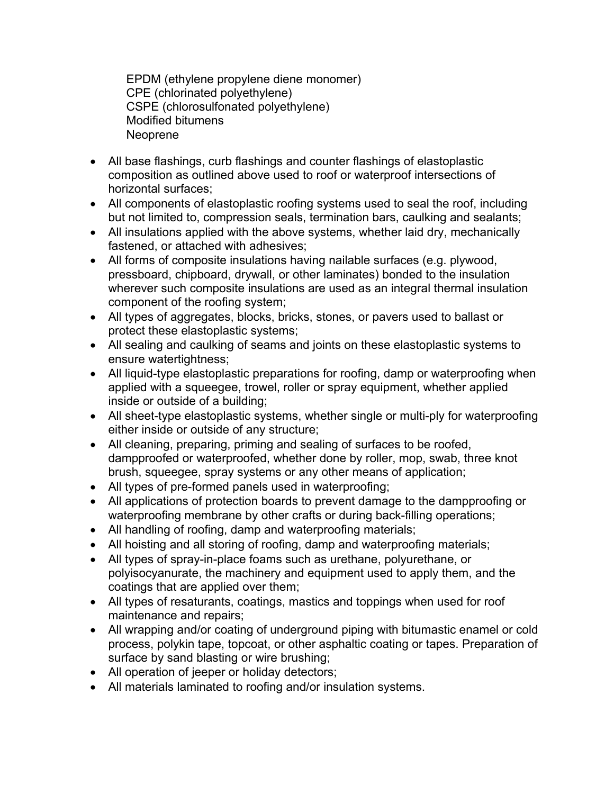EPDM (ethylene propylene diene monomer) CPE (chlorinated polyethylene) CSPE (chlorosulfonated polyethylene) Modified bitumens **Neoprene** 

- All base flashings, curb flashings and counter flashings of elastoplastic composition as outlined above used to roof or waterproof intersections of horizontal surfaces;
- All components of elastoplastic roofing systems used to seal the roof, including but not limited to, compression seals, termination bars, caulking and sealants;
- All insulations applied with the above systems, whether laid dry, mechanically fastened, or attached with adhesives;
- All forms of composite insulations having nailable surfaces (e.g. plywood, pressboard, chipboard, drywall, or other laminates) bonded to the insulation wherever such composite insulations are used as an integral thermal insulation component of the roofing system;
- All types of aggregates, blocks, bricks, stones, or pavers used to ballast or protect these elastoplastic systems;
- All sealing and caulking of seams and joints on these elastoplastic systems to ensure watertightness;
- All liquid-type elastoplastic preparations for roofing, damp or waterproofing when applied with a squeegee, trowel, roller or spray equipment, whether applied inside or outside of a building;
- All sheet-type elastoplastic systems, whether single or multi-ply for waterproofing either inside or outside of any structure;
- All cleaning, preparing, priming and sealing of surfaces to be roofed, dampproofed or waterproofed, whether done by roller, mop, swab, three knot brush, squeegee, spray systems or any other means of application;
- All types of pre-formed panels used in waterproofing;
- All applications of protection boards to prevent damage to the dampproofing or waterproofing membrane by other crafts or during back-filling operations;
- All handling of roofing, damp and waterproofing materials;
- All hoisting and all storing of roofing, damp and waterproofing materials;
- All types of spray-in-place foams such as urethane, polyurethane, or polyisocyanurate, the machinery and equipment used to apply them, and the coatings that are applied over them;
- All types of resaturants, coatings, mastics and toppings when used for roof maintenance and repairs;
- All wrapping and/or coating of underground piping with bitumastic enamel or cold process, polykin tape, topcoat, or other asphaltic coating or tapes. Preparation of surface by sand blasting or wire brushing;
- All operation of jeeper or holiday detectors;
- All materials laminated to roofing and/or insulation systems.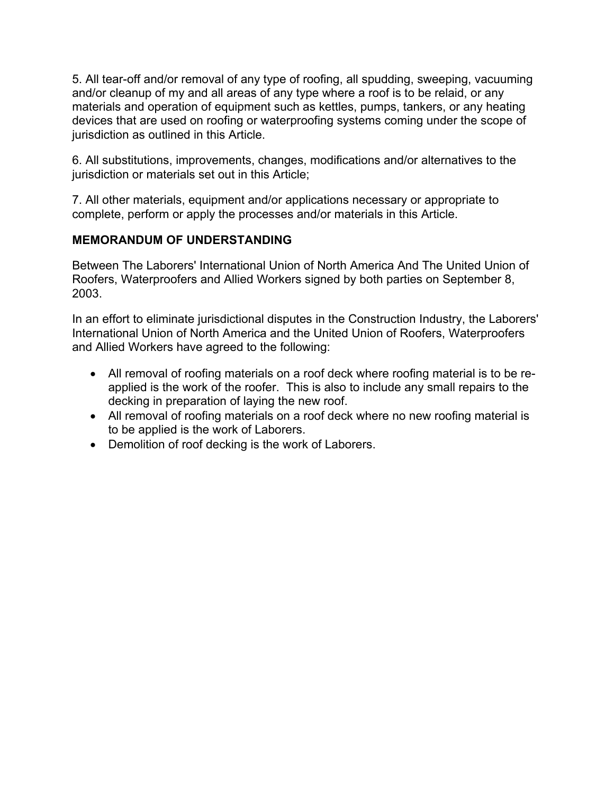5. All tear-off and/or removal of any type of roofing, all spudding, sweeping, vacuuming and/or cleanup of my and all areas of any type where a roof is to be relaid, or any materials and operation of equipment such as kettles, pumps, tankers, or any heating devices that are used on roofing or waterproofing systems coming under the scope of jurisdiction as outlined in this Article.

6. All substitutions, improvements, changes, modifications and/or alternatives to the jurisdiction or materials set out in this Article:

7. All other materials, equipment and/or applications necessary or appropriate to complete, perform or apply the processes and/or materials in this Article.

# **MEMORANDUM OF UNDERSTANDING**

Between The Laborers' International Union of North America And The United Union of Roofers, Waterproofers and Allied Workers signed by both parties on September 8, 2003.

In an effort to eliminate jurisdictional disputes in the Construction Industry, the Laborers' International Union of North America and the United Union of Roofers, Waterproofers and Allied Workers have agreed to the following:

- All removal of roofing materials on a roof deck where roofing material is to be reapplied is the work of the roofer. This is also to include any small repairs to the decking in preparation of laying the new roof.
- All removal of roofing materials on a roof deck where no new roofing material is to be applied is the work of Laborers.
- Demolition of roof decking is the work of Laborers.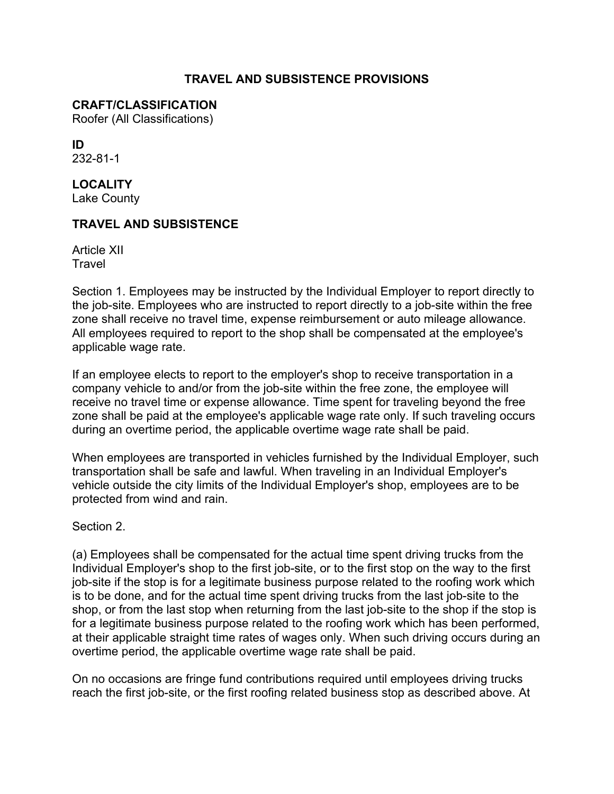#### **TRAVEL AND SUBSISTENCE PROVISIONS**

#### **CRAFT/CLASSIFICATION**

Roofer (All Classifications)

**ID** 232-81-1

**LOCALITY** Lake County

#### **TRAVEL AND SUBSISTENCE**

Article XII **Travel** 

Section 1. Employees may be instructed by the Individual Employer to report directly to the job-site. Employees who are instructed to report directly to a job-site within the free zone shall receive no travel time, expense reimbursement or auto mileage allowance. All employees required to report to the shop shall be compensated at the employee's applicable wage rate.

If an employee elects to report to the employer's shop to receive transportation in a company vehicle to and/or from the job-site within the free zone, the employee will receive no travel time or expense allowance. Time spent for traveling beyond the free zone shall be paid at the employee's applicable wage rate only. If such traveling occurs during an overtime period, the applicable overtime wage rate shall be paid.

When employees are transported in vehicles furnished by the Individual Employer, such transportation shall be safe and lawful. When traveling in an Individual Employer's vehicle outside the city limits of the Individual Employer's shop, employees are to be protected from wind and rain.

Section 2.

(a) Employees shall be compensated for the actual time spent driving trucks from the Individual Employer's shop to the first job-site, or to the first stop on the way to the first job-site if the stop is for a legitimate business purpose related to the roofing work which is to be done, and for the actual time spent driving trucks from the last job-site to the shop, or from the last stop when returning from the last job-site to the shop if the stop is for a legitimate business purpose related to the roofing work which has been performed, at their applicable straight time rates of wages only. When such driving occurs during an overtime period, the applicable overtime wage rate shall be paid.

On no occasions are fringe fund contributions required until employees driving trucks reach the first job-site, or the first roofing related business stop as described above. At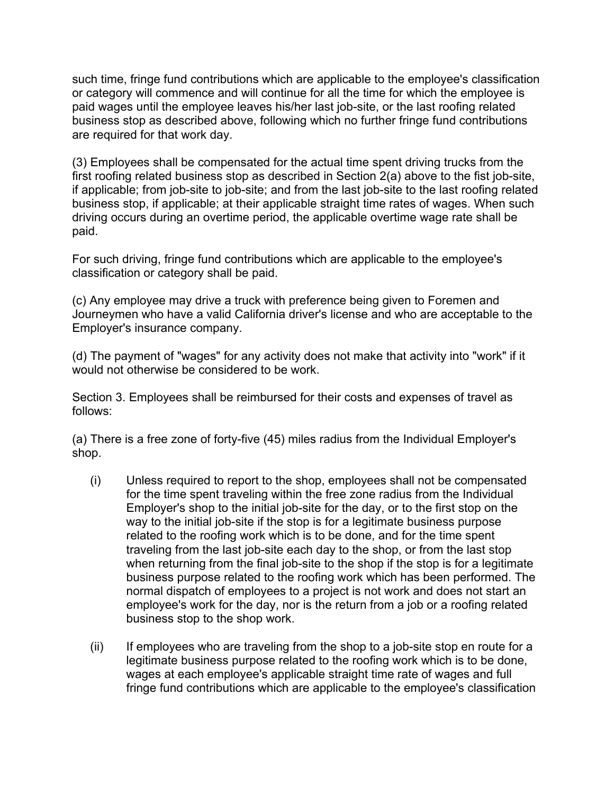such time, fringe fund contributions which are applicable to the employee's classification or category will commence and will continue for all the time for which the employee is paid wages until the employee leaves his/her last job-site, or the last roofing related business stop as described above, following which no further fringe fund contributions are required for that work day.

(3) Employees shall be compensated for the actual time spent driving trucks from the first roofing related business stop as described in Section 2(a) above to the fist job-site, if applicable; from job-site to job-site; and from the last job-site to the last roofing related business stop, if applicable; at their applicable straight time rates of wages. When such driving occurs during an overtime period, the applicable overtime wage rate shall be paid.

For such driving, fringe fund contributions which are applicable to the employee's classification or category shall be paid.

(c) Any employee may drive a truck with preference being given to Foremen and Journeymen who have a valid California driver's license and who are acceptable to the Employer's insurance company.

(d) The payment of "wages" for any activity does not make that activity into "work" if it would not otherwise be considered to be work.

Section 3. Employees shall be reimbursed for their costs and expenses of travel as follows:

(a) There is a free zone of forty-five (45) miles radius from the Individual Employer's shop.

- (i) Unless required to report to the shop, employees shall not be compensated for the time spent traveling within the free zone radius from the Individual Employer's shop to the initial job-site for the day, or to the first stop on the way to the initial job-site if the stop is for a legitimate business purpose related to the roofing work which is to be done, and for the time spent traveling from the last job-site each day to the shop, or from the last stop when returning from the final job-site to the shop if the stop is for a legitimate business purpose related to the roofing work which has been performed. The normal dispatch of employees to a project is not work and does not start an employee's work for the day, nor is the return from a job or a roofing related business stop to the shop work.
- (ii) If employees who are traveling from the shop to a job-site stop en route for a legitimate business purpose related to the roofing work which is to be done, wages at each employee's applicable straight time rate of wages and full fringe fund contributions which are applicable to the employee's classification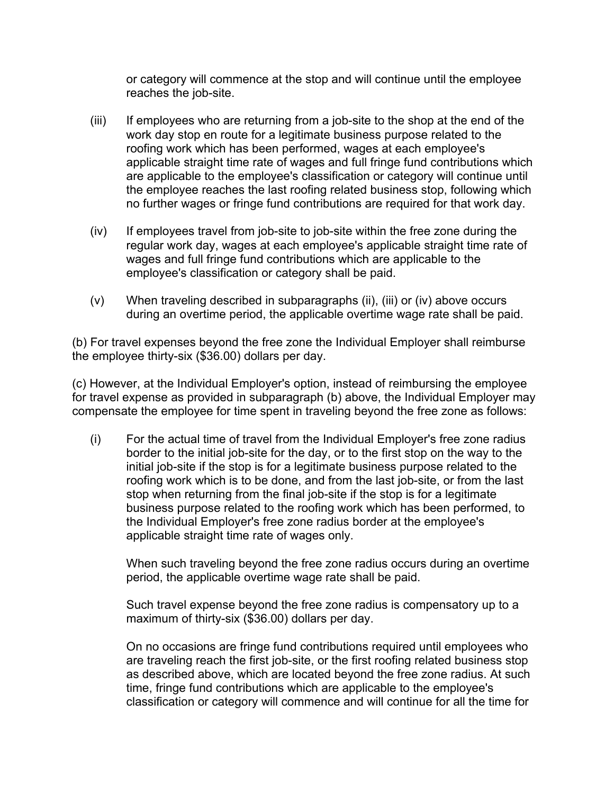or category will commence at the stop and will continue until the employee reaches the job-site.

- (iii) If employees who are returning from a job-site to the shop at the end of the work day stop en route for a legitimate business purpose related to the roofing work which has been performed, wages at each employee's applicable straight time rate of wages and full fringe fund contributions which are applicable to the employee's classification or category will continue until the employee reaches the last roofing related business stop, following which no further wages or fringe fund contributions are required for that work day.
- (iv) If employees travel from job-site to job-site within the free zone during the regular work day, wages at each employee's applicable straight time rate of wages and full fringe fund contributions which are applicable to the employee's classification or category shall be paid.
- (v) When traveling described in subparagraphs (ii), (iii) or (iv) above occurs during an overtime period, the applicable overtime wage rate shall be paid.

(b) For travel expenses beyond the free zone the Individual Employer shall reimburse the employee thirty-six (\$36.00) dollars per day.

(c) However, at the Individual Employer's option, instead of reimbursing the employee for travel expense as provided in subparagraph (b) above, the Individual Employer may compensate the employee for time spent in traveling beyond the free zone as follows:

(i) For the actual time of travel from the Individual Employer's free zone radius border to the initial job-site for the day, or to the first stop on the way to the initial job-site if the stop is for a legitimate business purpose related to the roofing work which is to be done, and from the last job-site, or from the last stop when returning from the final job-site if the stop is for a legitimate business purpose related to the roofing work which has been performed, to the Individual Employer's free zone radius border at the employee's applicable straight time rate of wages only.

When such traveling beyond the free zone radius occurs during an overtime period, the applicable overtime wage rate shall be paid.

Such travel expense beyond the free zone radius is compensatory up to a maximum of thirty-six (\$36.00) dollars per day.

On no occasions are fringe fund contributions required until employees who are traveling reach the first job-site, or the first roofing related business stop as described above, which are located beyond the free zone radius. At such time, fringe fund contributions which are applicable to the employee's classification or category will commence and will continue for all the time for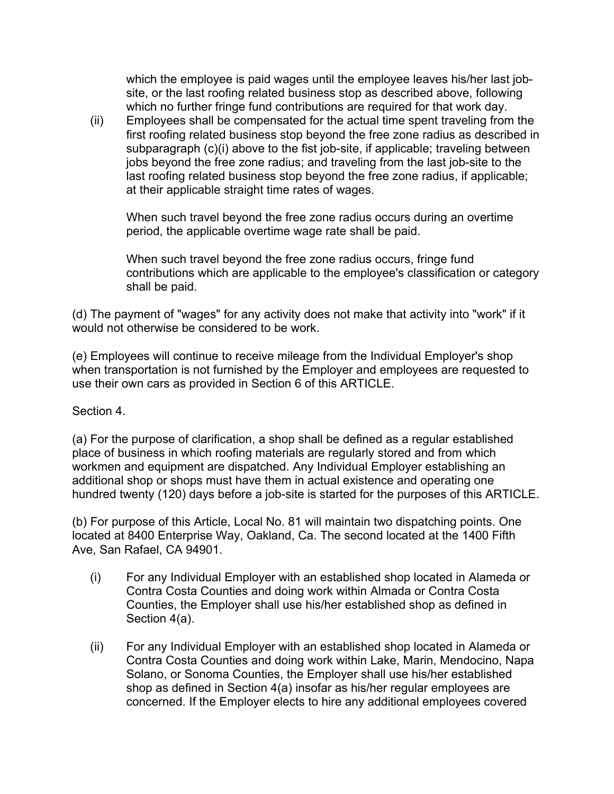which the employee is paid wages until the employee leaves his/her last jobsite, or the last roofing related business stop as described above, following which no further fringe fund contributions are required for that work day.

(ii) Employees shall be compensated for the actual time spent traveling from the first roofing related business stop beyond the free zone radius as described in subparagraph (c)(i) above to the fist job-site, if applicable; traveling between jobs beyond the free zone radius; and traveling from the last job-site to the last roofing related business stop beyond the free zone radius, if applicable; at their applicable straight time rates of wages.

When such travel beyond the free zone radius occurs during an overtime period, the applicable overtime wage rate shall be paid.

When such travel beyond the free zone radius occurs, fringe fund contributions which are applicable to the employee's classification or category shall be paid.

(d) The payment of "wages" for any activity does not make that activity into "work" if it would not otherwise be considered to be work.

(e) Employees will continue to receive mileage from the Individual Employer's shop when transportation is not furnished by the Employer and employees are requested to use their own cars as provided in Section 6 of this ARTICLE.

Section 4.

(a) For the purpose of clarification, a shop shall be defined as a regular established place of business in which roofing materials are regularly stored and from which workmen and equipment are dispatched. Any Individual Employer establishing an additional shop or shops must have them in actual existence and operating one hundred twenty (120) days before a job-site is started for the purposes of this ARTICLE.

(b) For purpose of this Article, Local No. 81 will maintain two dispatching points. One located at 8400 Enterprise Way, Oakland, Ca. The second located at the 1400 Fifth Ave, San Rafael, CA 94901.

- (i) For any Individual Employer with an established shop located in Alameda or Contra Costa Counties and doing work within Almada or Contra Costa Counties, the Employer shall use his/her established shop as defined in Section 4(a).
- (ii) For any Individual Employer with an established shop located in Alameda or Contra Costa Counties and doing work within Lake, Marin, Mendocino, Napa Solano, or Sonoma Counties, the Employer shall use his/her established shop as defined in Section 4(a) insofar as his/her regular employees are concerned. If the Employer elects to hire any additional employees covered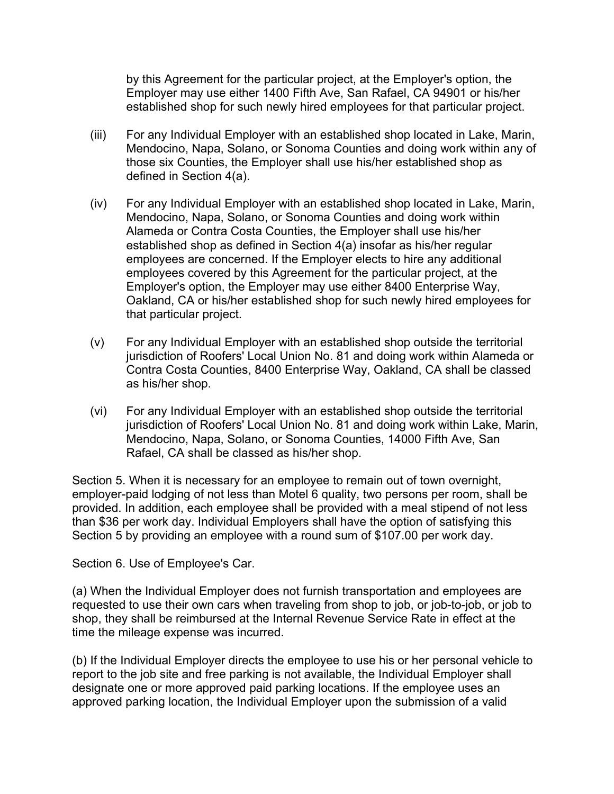by this Agreement for the particular project, at the Employer's option, the Employer may use either 1400 Fifth Ave, San Rafael, CA 94901 or his/her established shop for such newly hired employees for that particular project.

- (iii) For any Individual Employer with an established shop located in Lake, Marin, Mendocino, Napa, Solano, or Sonoma Counties and doing work within any of those six Counties, the Employer shall use his/her established shop as defined in Section 4(a).
- (iv) For any Individual Employer with an established shop located in Lake, Marin, Mendocino, Napa, Solano, or Sonoma Counties and doing work within Alameda or Contra Costa Counties, the Employer shall use his/her established shop as defined in Section 4(a) insofar as his/her regular employees are concerned. If the Employer elects to hire any additional employees covered by this Agreement for the particular project, at the Employer's option, the Employer may use either 8400 Enterprise Way, Oakland, CA or his/her established shop for such newly hired employees for that particular project.
- (v) For any Individual Employer with an established shop outside the territorial jurisdiction of Roofers' Local Union No. 81 and doing work within Alameda or Contra Costa Counties, 8400 Enterprise Way, Oakland, CA shall be classed as his/her shop.
- (vi) For any Individual Employer with an established shop outside the territorial jurisdiction of Roofers' Local Union No. 81 and doing work within Lake, Marin, Mendocino, Napa, Solano, or Sonoma Counties, 14000 Fifth Ave, San Rafael, CA shall be classed as his/her shop.

Section 5. When it is necessary for an employee to remain out of town overnight, employer-paid lodging of not less than Motel 6 quality, two persons per room, shall be provided. In addition, each employee shall be provided with a meal stipend of not less than \$36 per work day. Individual Employers shall have the option of satisfying this Section 5 by providing an employee with a round sum of \$107.00 per work day.

Section 6. Use of Employee's Car.

(a) When the Individual Employer does not furnish transportation and employees are requested to use their own cars when traveling from shop to job, or job-to-job, or job to shop, they shall be reimbursed at the Internal Revenue Service Rate in effect at the time the mileage expense was incurred.

(b) If the Individual Employer directs the employee to use his or her personal vehicle to report to the job site and free parking is not available, the Individual Employer shall designate one or more approved paid parking locations. If the employee uses an approved parking location, the Individual Employer upon the submission of a valid